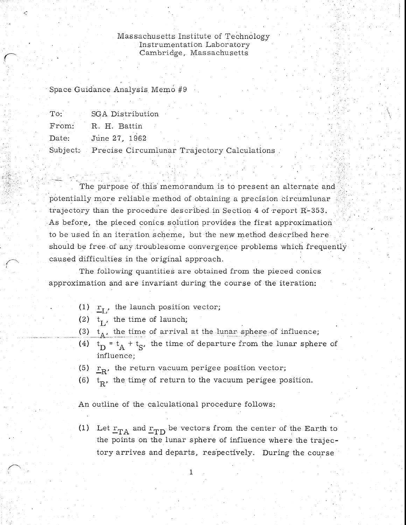Massachusetts Institute of Technology Instrumentation Laboratory Cambridge, Massachusetts

Space Guidance Analysis Memo #9

|       | To: SGA Distribution                                 |  |  |
|-------|------------------------------------------------------|--|--|
|       | From: R. H. Battin                                   |  |  |
| Date: | June 27, 1962                                        |  |  |
|       | Subject: Precise Circumlunar Trajectory Calculations |  |  |

The purpose of this memorandum is to present an alternate and potentially more reliable method of obtaining a precision circumlunar trajectory than the procedure described in Section 4 of report  $R-353$ . As before, the pieced conics solution provides the first approximation to be used in an iteration scheme, but the new method described here should be free of any troublesome convergence problems which frequently caused difficulties in the original approach.

The following quantities are obtained from the pieced conics approximation and are invariant during the course of the iteration:

- (1)  $r_{\rm L}$ , the launch position vector;
- (2)  $t_L$ , the time of launch;
- (3)  $t_A$ , the time of arrival at the lunar sphere of influence;
- (4)  $t_D = t_A + t_S$ , the time of departure from the lunar sphere of influence;
- (5)  $r_{\rm R}$ , the return vacuum perigee position vector;
- (6)  $t_R$ , the time of return to the vacuum perigee position.

An outline of the calculational procedure follows:

(1) Let  $r_{TA}$  and  $r_{TD}$  be vectors from the center of the Earth to the points on the lunar sphere of influence where the trajectory arrives and departs, respectively. During the course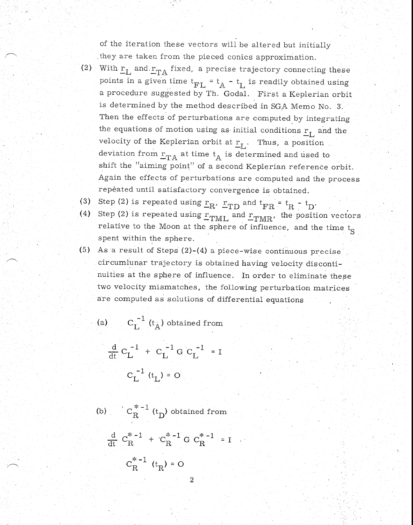of the iteration these vectors will be altered but initially they are taken from the pieced conics approximation.

- (2) With  $r_L$  and  $r_{TA}$  fixed, a precise trajectory connecting these with  $L_{L}$  and  $L_{TA}$  liked, a prepoints in a given time  $t_{FL}$  = the procedure suggested by Th  $t_A - t_L$  is readily obtained using a procedure suggested by Th. Godal. First a Keplerian orbit is determined by the method described in SGA Memo No. 3. Then the effects of perturbations are computed by integrating the equations of motion using as initial conditions  $r_{\rm L}$  and the velocity of the Keplerian orbit at  $r_L$ . Thus, a position deviation from  $r_{TA}$  at time  $t_A$  is determined and used to shift the "aiming point" of a second Keplerian reference orbit. Again the effects of perturbations are computed and the process repeated until satisfactory convergence is obtained.
- (3) Step (2) is repeated using  $r_R$ ,  $r_{TD}$  and  $t_{FR} = t_R t_D$ .
- (4) Step (2) is repeated using  $r_{\text{TML}}$  and  $r_{\text{TMR}}$ , the position vectors relative to the Moon at the sphere of influence, and the time  $t_S$ spent within the sphere.
- (5) As a result of Steps (2)-(4) a piece-wise continuous precise circumlunar trajectory is obtained having velocity discontinuities at the sphere of influence. In order to eliminate these two velocity mismatches, the following perturbation matrices are computed as solutions of differential equations

(a) 
$$
C_L^{-1}
$$
 ( $t_A$ ) obtained from  
\n $\frac{d}{dt} C_L^{-1} + C_L^{-1} G C_L^{-1} = I$   
\n $C_L^{-1}$  ( $t_L$ ) = O

(b)  $C_R^{*-1}$  (t<sub>D</sub>) obtained from

$$
\frac{d}{dt} C_{R}^{* - 1} + C_{R}^{* - 1} G C_{R}^{* - 1} = I
$$

$$
C_{R}^{* - 1} (t_{R}) = O
$$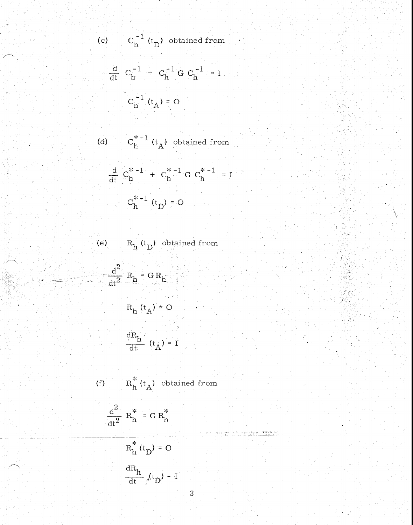(c) 
$$
C_h^{-1}(t_D)
$$
 obtained from

$$
\frac{d}{dt} C_{h}^{-1} + C_{h}^{-1} G C_{h}^{-1} = I
$$

$$
C_{h}^{-1} (t_{A}) = O
$$

(d) 
$$
C_h^{*-1}(t_A)
$$
 obtained from

$$
\frac{d}{dt} C_h^{* - 1} + C_h^{* - 1} G C_h^{* - 1} =
$$

$$
C_h^{* - 1} (t_D) = 0
$$

(e) 
$$
R_h(t_D)
$$
 obtained from

$$
\frac{d^2}{dt^2} R_h = G R_h
$$
  

$$
R_h (t_A) = O
$$

$$
\frac{1}{dR_{i}}
$$

$$
\frac{dn_h}{dt} (t_A) = 1
$$

(f) 
$$
R_h^*(t_A)
$$
 obtained from

$$
\frac{d^2}{dt^2} R_h^* = G R_h^*
$$

$$
R_h^*(t_D) = 0
$$
  

$$
\frac{dR_h}{dt} f(t_D) = 1
$$

gga po<del>n</del>g – golfara<br>presjekt – stalisan

 $\overline{I}$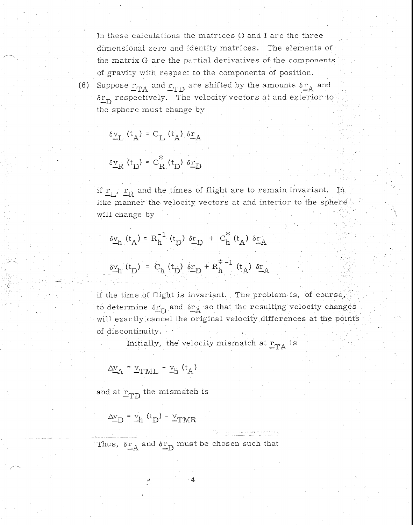In these calculations the matrices 0 and I are the three dimensional zero and identity matrices. The elements of the matrix G are the partial derivatives of the components of gravity with respect to the components of position.

(6) Suppose 
$$
r_{TA}
$$
 and  $r_{TD}$  are shifted by the amounts  $\delta r_A$  and  $\delta r_D$  respectively. The velocity vectors at and exterior to the sphere must change by

$$
\delta \underline{\mathbf{v}}_{\mathbf{L}} \left( \mathbf{t}_{\mathbf{A}} \right) = \mathbf{C}_{\mathbf{L}} \left( \mathbf{t}_{\mathbf{A}} \right) \delta \underline{\mathbf{r}}_{\mathbf{A}}
$$

 $\sim$ 

$$
\delta \underline{v}_{R} (t_{D}) = C_{R}^{*} (t_{D}) \delta \underline{r}_{D}
$$

if  $r_L$ ,  $r_R$  and the times of flight are to remain invariant. In like manner the velocity vectors at and interior to the sphere will change by

$$
\delta v_h(t_A) = R_h^{-1} (t_D) \delta r_D + C_h^{*} (t_A) \delta r_A
$$
  

$$
\delta v_h (t_D) = C_h (t_D) \delta r_D + R_h^{*-1} (t_A) \delta r_A
$$

if the time of flight is invariant. The problem is, of course, to determine  $\delta r$  and  $\delta r_A$  so that the resulting velocity changes will exactly cancel the original velocity differences at the points of discontinuity.

Initially, the velocity mismatch at  $r_{TA}$  is

$$
\Delta \underline{\mathbf{v}}_{\mathbf{A}} = \underline{\mathbf{v}}_{\mathbf{TML}} - \underline{\mathbf{v}}_{\mathbf{h}} \ (\mathbf{t}_{\mathbf{A}})
$$

and at  $r_{\rm TD}$  the mismatch is

$$
\Delta \underline{\mathbf{v}}_{\mathbf{D}} = \underline{\mathbf{v}}_{\mathbf{h}} \ (\mathbf{t}_{\mathbf{D}}) - \underline{\mathbf{v}}_{\mathbf{TMR}}
$$

Thus,  $\delta r_A$  and  $\delta r_D$  must be chosen such that

4